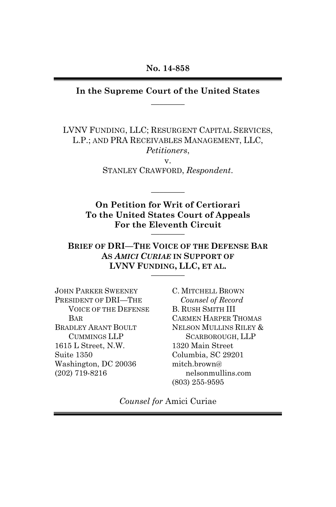#### **In the Supreme Court of the United States**   $\overline{\phantom{a}}$   $\overline{\phantom{a}}$

LVNV FUNDING, LLC; RESURGENT CAPITAL SERVICES, L.P.; AND PRA RECEIVABLES MANAGEMENT, LLC, *Petitioners*, v.

STANLEY CRAWFORD, *Respondent*.

 $\overline{\phantom{a}}$   $\overline{\phantom{a}}$ 

**On Petition for Writ of Certiorari To the United States Court of Appeals**  For the Eleventh Circuit

**BRIEF OF DRI—THE VOICE OF THE DEFENSE BAR AS** *AMICI CURIAE* **IN SUPPORT OF LVNV FUNDING, LLC, ET AL.** \_\_\_\_\_\_\_\_

JOHN PARKER SWEENEY PRESIDENT OF DRI—THE VOICE OF THE DEFENSE BAR BRADLEY ARANT BOULT CUMMINGS LLP 1615 L Street, N.W. Suite 1350 Washington, DC 20036 (202) 719-8216

C. MITCHELL BROWN *Counsel of Record*  B. RUSH SMITH III CARMEN HARPER THOMAS NELSON MULLINS RILEY & SCARBOROUGH, LLP 1320 Main Street Columbia, SC 29201 mitch.brown@ nelsonmullins.com (803) 255-9595

*Counsel for* Amici Curiae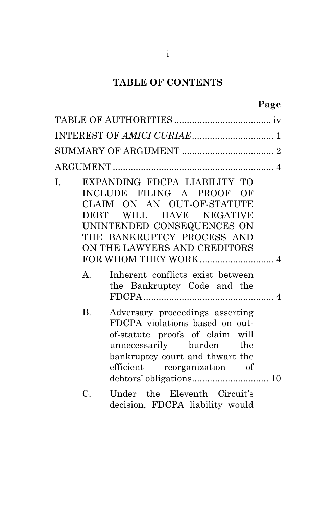# **TABLE OF CONTENTS**

|                       | Page                                                                                                                                                                                                                                                                              |
|-----------------------|-----------------------------------------------------------------------------------------------------------------------------------------------------------------------------------------------------------------------------------------------------------------------------------|
|                       |                                                                                                                                                                                                                                                                                   |
|                       |                                                                                                                                                                                                                                                                                   |
|                       |                                                                                                                                                                                                                                                                                   |
|                       |                                                                                                                                                                                                                                                                                   |
| I.<br>$A_{\cdot}$     | EXPANDING FDCPA LIABILITY TO<br>INCLUDE FILING A PROOF OF<br>CLAIM ON AN OUT-OF-STATUTE<br>DEBT WILL HAVE NEGATIVE<br>UNINTENDED CONSEQUENCES ON<br>THE BANKRUPTCY PROCESS AND<br>ON THE LAWYERS AND CREDITORS<br>Inherent conflicts exist between<br>the Bankruptcy Code and the |
| <b>B.</b>             | Adversary proceedings asserting<br>FDCPA violations based on out-<br>of-statute proofs of claim will<br>unnecessarily burden<br>the<br>bankruptcy court and thwart the<br>efficient reorganization of                                                                             |
| $\mathcal{C}_{\cdot}$ | Under the Eleventh Circuit's<br>decision, FDCPA liability would                                                                                                                                                                                                                   |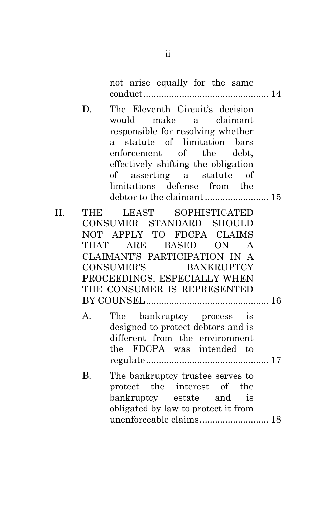not arise equally for the same conduct ................................................. 14

D. The Eleventh Circuit's decision would make a claimant responsible for resolving whether a statute of limitation bars enforcement of the debt, effectively shifting the obligation of asserting a statute of limitations defense from the debtor to the claimant ......................... 15

II. THE LEAST SOPHISTICATED CONSUMER STANDARD SHOULD NOT APPLY TO FDCPA CLAIMS THAT ARE BASED ON A CLAIMANT'S PARTICIPATION IN A CONSUMER'S BANKRUPTCY PROCEEDINGS, ESPECIALLY WHEN THE CONSUMER IS REPRESENTED BY COUNSEL ................................................ 16 A. The bankruptcy process is designed to protect debtors and is different from the environment the FDCPA was intended to regulate ................................................ 17 B. The bankruptcy trustee serves to protect the interest of the bankruptcy estate and is obligated by law to protect it from unenforceable claims ........................... 18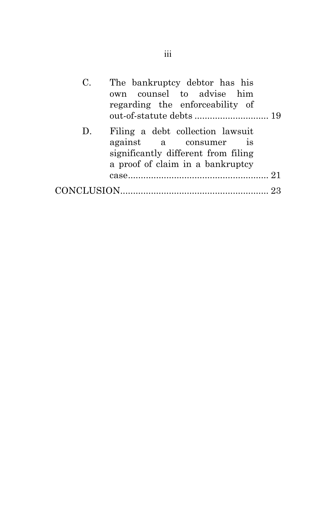| C. | The bankruptcy debtor has his<br>own counsel to advise him<br>regarding the enforceability of                                                        |  |
|----|------------------------------------------------------------------------------------------------------------------------------------------------------|--|
| D. | Filing a debt collection lawsuit<br>against a consumer<br>$\overline{18}$<br>significantly different from filing<br>a proof of claim in a bankruptcy |  |
|    |                                                                                                                                                      |  |
|    |                                                                                                                                                      |  |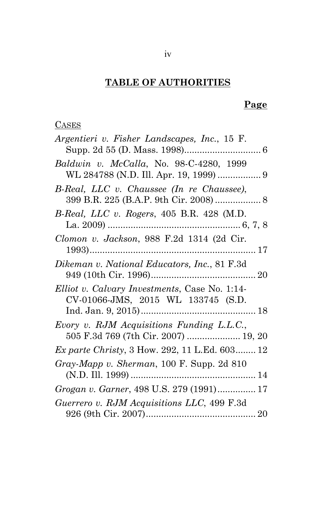# **TABLE OF AUTHORITIES**

## **Page**

## **CASES**

| Argentieri v. Fisher Landscapes, Inc., 15 F.  |
|-----------------------------------------------|
|                                               |
| Baldwin v. McCalla, No. 98-C-4280, 1999       |
|                                               |
| B-Real, LLC v. Chaussee (In re Chaussee),     |
|                                               |
| B-Real, LLC v. Rogers, 405 B.R. 428 (M.D.     |
|                                               |
| Clomon v. Jackson, 988 F.2d 1314 (2d Cir.     |
|                                               |
| Dikeman v. National Educators, Inc., 81 F.3d  |
|                                               |
| Elliot v. Calvary Investments, Case No. 1:14- |
| CV-01066-JMS, 2015 WL 133745 (S.D.            |
|                                               |
| Evory v. RJM Acquisitions Funding L.L.C.,     |
| 505 F.3d 769 (7th Cir. 2007)  19, 20          |
| Ex parte Christy, 3 How. 292, 11 L.Ed. 603 12 |
| Gray-Mapp v. Sherman, 100 F. Supp. 2d 810     |
|                                               |
| Grogan v. Garner, 498 U.S. 279 (1991) 17      |
| Guerrero v. RJM Acquisitions LLC, 499 F.3d    |
|                                               |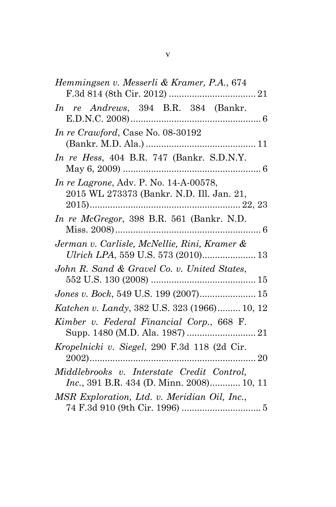| Hemmingsen v. Messerli & Kramer, P.A., 674                                                      |
|-------------------------------------------------------------------------------------------------|
| In re Andrews, 394 B.R. 384 (Bankr.                                                             |
| In re Crawford, Case No. 08-30192                                                               |
| In re Hess, 404 B.R. 747 (Bankr. S.D.N.Y.                                                       |
| <i>In re Lagrone, Adv. P. No.</i> 14-A-00578,<br>2015 WL 273373 (Bankr. N.D. Ill. Jan. 21,      |
| In re McGregor, 398 B.R. 561 (Bankr. N.D.                                                       |
| Jerman v. Carlisle, McNellie, Rini, Kramer &<br>Ulrich LPA, 559 U.S. 573 (2010) 13              |
| John R. Sand & Gravel Co. v. United States,                                                     |
| Jones v. Bock, 549 U.S. 199 (2007) 15                                                           |
| Katchen v. Landy, 382 U.S. 323 (1966) 10, 12                                                    |
| Kimber v. Federal Financial Corp., 668 F.                                                       |
| Kropelnicki v. Siegel, 290 F.3d 118 (2d Cir.<br>20                                              |
| Middlebrooks v. Interstate Credit Control,<br><i>Inc.</i> , 391 B.R. 434 (D. Minn. 2008) 10, 11 |
| MSR Exploration, Ltd. v. Meridian Oil, Inc.,                                                    |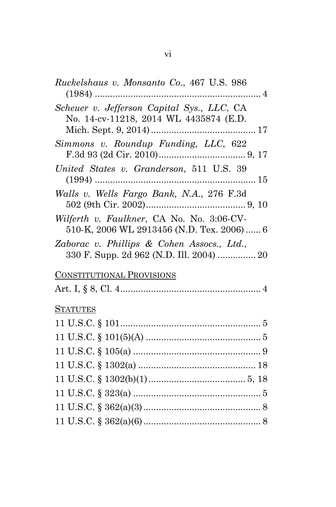| Ruckelshaus v. Monsanto Co., 467 U.S. 986                                               |
|-----------------------------------------------------------------------------------------|
| Scheuer v. Jefferson Capital Sys., LLC, CA<br>No. 14-cv-11218, 2014 WL 4435874 (E.D.    |
| Simmons v. Roundup Funding, LLC, 622                                                    |
| United States v. Granderson, 511 U.S. 39                                                |
| Walls v. Wells Fargo Bank, N.A., 276 F.3d                                               |
| Wilferth v. Faulkner, CA No. No. 3:06-CV-<br>510-K, 2006 WL 2913456 (N.D. Tex. 2006)  6 |
| Zaborac v. Phillips & Cohen Assocs., Ltd.,<br>330 F. Supp. 2d 962 (N.D. Ill. 2004)  20  |
| <b>CONSTITUTIONAL PROVISIONS</b>                                                        |
|                                                                                         |
| <u>STATUTES</u>                                                                         |
| $11 \text{ U.S.C.} \S 101 \dots 100$                                                    |
|                                                                                         |
|                                                                                         |
|                                                                                         |
|                                                                                         |
|                                                                                         |
|                                                                                         |
|                                                                                         |

vi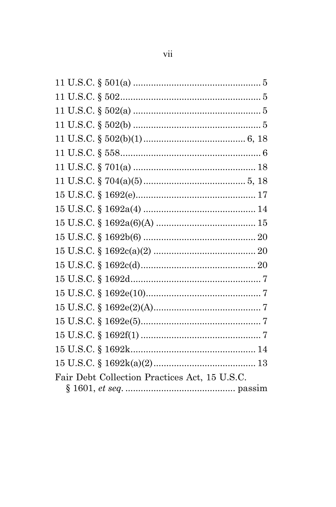| Fair Debt Collection Practices Act, 15 U.S.C. |  |
|-----------------------------------------------|--|
|                                               |  |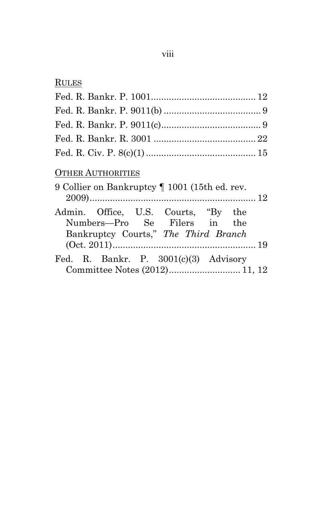| RULES                                                                                                       |
|-------------------------------------------------------------------------------------------------------------|
|                                                                                                             |
|                                                                                                             |
|                                                                                                             |
|                                                                                                             |
|                                                                                                             |
| <b>OTHER AUTHORITIES</b><br>9 Collier on Bankruptcy   1001 (15th ed. rev.                                   |
| Admin. Office, U.S. Courts, "By the<br>Numbers—Pro Se Filers in the<br>Bankruptcy Courts," The Third Branch |
| Fed. R. Bankr. P. $3001(c)(3)$ Advisory                                                                     |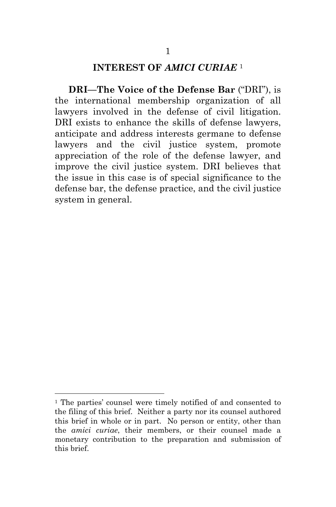### **INTEREST OF** *AMICI CURIAE* <sup>1</sup>

**DRI—The Voice of the Defense Bar** ("DRI"), is the international membership organization of all lawyers involved in the defense of civil litigation. DRI exists to enhance the skills of defense lawyers, anticipate and address interests germane to defense lawyers and the civil justice system, promote appreciation of the role of the defense lawyer, and improve the civil justice system. DRI believes that the issue in this case is of special significance to the defense bar, the defense practice, and the civil justice system in general.

 $\overline{a}$ 

<sup>&</sup>lt;sup>1</sup> The parties' counsel were timely notified of and consented to the filing of this brief. Neither a party nor its counsel authored this brief in whole or in part. No person or entity, other than the *amici curiae*, their members, or their counsel made a monetary contribution to the preparation and submission of this brief.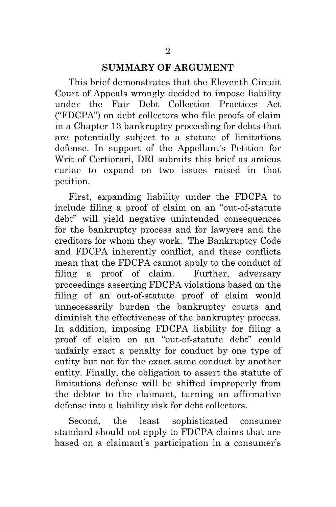#### **SUMMARY OF ARGUMENT**

This brief demonstrates that the Eleventh Circuit Court of Appeals wrongly decided to impose liability under the Fair Debt Collection Practices Act ("FDCPA") on debt collectors who file proofs of claim in a Chapter 13 bankruptcy proceeding for debts that are potentially subject to a statute of limitations defense. In support of the Appellant's Petition for Writ of Certiorari, DRI submits this brief as amicus curiae to expand on two issues raised in that petition.

First, expanding liability under the FDCPA to include filing a proof of claim on an "out-of-statute debt" will yield negative unintended consequences for the bankruptcy process and for lawyers and the creditors for whom they work. The Bankruptcy Code and FDCPA inherently conflict, and these conflicts mean that the FDCPA cannot apply to the conduct of filing a proof of claim. Further, adversary proceedings asserting FDCPA violations based on the filing of an out-of-statute proof of claim would unnecessarily burden the bankruptcy courts and diminish the effectiveness of the bankruptcy process. In addition, imposing FDCPA liability for filing a proof of claim on an "out-of-statute debt" could unfairly exact a penalty for conduct by one type of entity but not for the exact same conduct by another entity. Finally, the obligation to assert the statute of limitations defense will be shifted improperly from the debtor to the claimant, turning an affirmative defense into a liability risk for debt collectors.

Second, the least sophisticated consumer standard should not apply to FDCPA claims that are based on a claimant's participation in a consumer's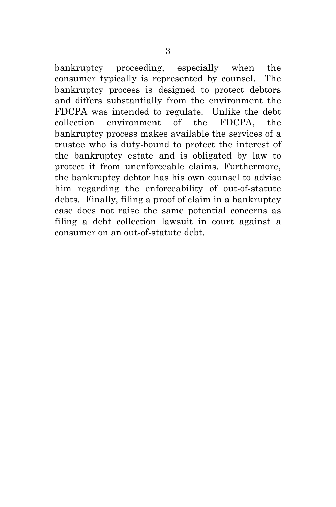bankruptcy proceeding, especially when the consumer typically is represented by counsel. The bankruptcy process is designed to protect debtors and differs substantially from the environment the FDCPA was intended to regulate. Unlike the debt collection environment of the FDCPA, the bankruptcy process makes available the services of a trustee who is duty-bound to protect the interest of the bankruptcy estate and is obligated by law to protect it from unenforceable claims. Furthermore, the bankruptcy debtor has his own counsel to advise him regarding the enforceability of out-of-statute debts. Finally, filing a proof of claim in a bankruptcy case does not raise the same potential concerns as filing a debt collection lawsuit in court against a consumer on an out-of-statute debt.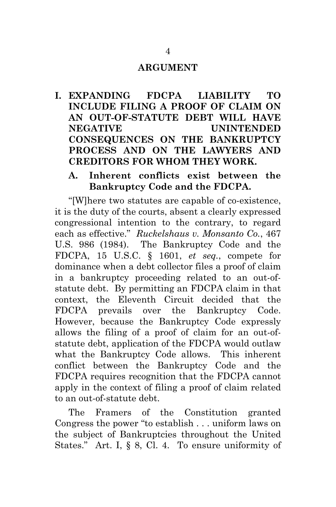#### **ARGUMENT**

**I. EXPANDING FDCPA LIABILITY TO INCLUDE FILING A PROOF OF CLAIM ON AN OUT-OF-STATUTE DEBT WILL HAVE NEGATIVE UNINTENDED CONSEQUENCES ON THE BANKRUPTCY PROCESS AND ON THE LAWYERS AND CREDITORS FOR WHOM THEY WORK.** 

## **A. Inherent conflicts exist between the Bankruptcy Code and the FDCPA.**

"[W]here two statutes are capable of co-existence, it is the duty of the courts, absent a clearly expressed congressional intention to the contrary, to regard each as effective." *Ruckelshaus v. Monsanto Co.*, 467 U.S. 986 (1984). The Bankruptcy Code and the FDCPA, 15 U.S.C. § 1601, *et seq.*, compete for dominance when a debt collector files a proof of claim in a bankruptcy proceeding related to an out-ofstatute debt. By permitting an FDCPA claim in that context, the Eleventh Circuit decided that the FDCPA prevails over the Bankruptcy Code. However, because the Bankruptcy Code expressly allows the filing of a proof of claim for an out-ofstatute debt, application of the FDCPA would outlaw what the Bankruptcy Code allows. This inherent conflict between the Bankruptcy Code and the FDCPA requires recognition that the FDCPA cannot apply in the context of filing a proof of claim related to an out-of-statute debt.

The Framers of the Constitution granted Congress the power "to establish . . . uniform laws on the subject of Bankruptcies throughout the United States." Art. I, § 8, Cl. 4. To ensure uniformity of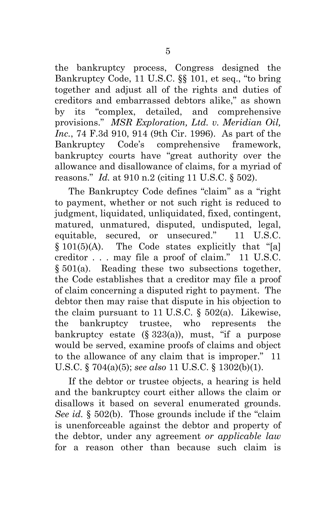the bankruptcy process, Congress designed the Bankruptcy Code, 11 U.S.C. §§ 101, et seq., "to bring together and adjust all of the rights and duties of creditors and embarrassed debtors alike," as shown by its "complex, detailed, and comprehensive provisions." *MSR Exploration, Ltd. v. Meridian Oil, Inc.*, 74 F.3d 910, 914 (9th Cir. 1996). As part of the Bankruptcy Code's comprehensive framework, bankruptcy courts have "great authority over the allowance and disallowance of claims, for a myriad of reasons." *Id.* at 910 n.2 (citing 11 U.S.C. § 502).

The Bankruptcy Code defines "claim" as a "right to payment, whether or not such right is reduced to judgment, liquidated, unliquidated, fixed, contingent, matured, unmatured, disputed, undisputed, legal, equitable, secured, or unsecured." 11 U.S.C. § 101(5)(A). The Code states explicitly that "[a] creditor . . . may file a proof of claim." 11 U.S.C. § 501(a). Reading these two subsections together, the Code establishes that a creditor may file a proof of claim concerning a disputed right to payment. The debtor then may raise that dispute in his objection to the claim pursuant to 11 U.S.C.  $\S$  502(a). Likewise, the bankruptcy trustee, who represents the bankruptcy estate  $(\S 323(a))$ , must, "if a purpose would be served, examine proofs of claims and object to the allowance of any claim that is improper." 11 U.S.C. § 704(a)(5); *see also* 11 U.S.C. § 1302(b)(1).

If the debtor or trustee objects, a hearing is held and the bankruptcy court either allows the claim or disallows it based on several enumerated grounds. *See id.* § 502(b). Those grounds include if the "claim is unenforceable against the debtor and property of the debtor, under any agreement *or applicable law*  for a reason other than because such claim is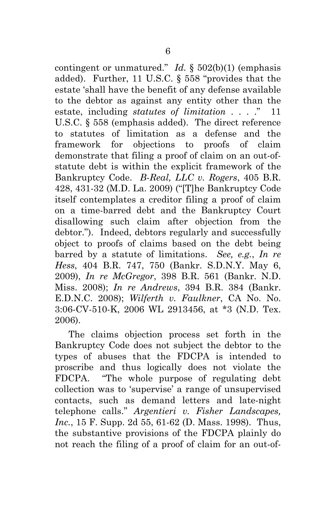contingent or unmatured." *Id.*  $\S$  502(b)(1) (emphasis added). Further, 11 U.S.C. § 558 "provides that the estate 'shall have the benefit of any defense available to the debtor as against any entity other than the estate, including *statutes of limitation* . . . ." 11 U.S.C. § 558 (emphasis added). The direct reference to statutes of limitation as a defense and the framework for objections to proofs of claim demonstrate that filing a proof of claim on an out-ofstatute debt is within the explicit framework of the Bankruptcy Code. *B-Real, LLC v. Rogers*, 405 B.R. 428, 431-32 (M.D. La. 2009) ("[T]he Bankruptcy Code itself contemplates a creditor filing a proof of claim on a time-barred debt and the Bankruptcy Court disallowing such claim after objection from the debtor."). Indeed, debtors regularly and successfully object to proofs of claims based on the debt being barred by a statute of limitations. *See, e.g.*, *In re Hess*, 404 B.R. 747, 750 (Bankr. S.D.N.Y. May 6, 2009), *In re McGregor*, 398 B.R. 561 (Bankr. N.D. Miss. 2008); *In re Andrews*, 394 B.R. 384 (Bankr. E.D.N.C. 2008); *Wilferth v. Faulkner*, CA No. No. 3:06-CV-510-K, 2006 WL 2913456, at \*3 (N.D. Tex. 2006).

The claims objection process set forth in the Bankruptcy Code does not subject the debtor to the types of abuses that the FDCPA is intended to proscribe and thus logically does not violate the FDCPA. "The whole purpose of regulating debt collection was to 'supervise' a range of unsupervised contacts, such as demand letters and late-night telephone calls." *Argentieri v. Fisher Landscapes, Inc.*, 15 F. Supp. 2d 55, 61-62 (D. Mass. 1998). Thus, the substantive provisions of the FDCPA plainly do not reach the filing of a proof of claim for an out-of-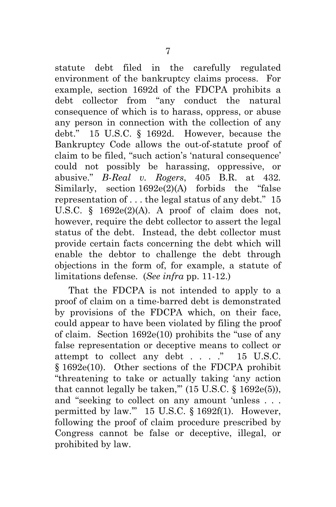statute debt filed in the carefully regulated environment of the bankruptcy claims process. For example, section 1692d of the FDCPA prohibits a debt collector from "any conduct the natural consequence of which is to harass, oppress, or abuse any person in connection with the collection of any debt." 15 U.S.C. § 1692d. However, because the Bankruptcy Code allows the out-of-statute proof of claim to be filed, "such action's 'natural consequence' could not possibly be harassing, oppressive, or abusive." *B-Real v. Rogers*, 405 B.R. at 432*.* Similarly, section 1692e(2)(A) forbids the "false representation of . . . the legal status of any debt." 15 U.S.C.  $\S$  1692e(2)(A). A proof of claim does not, however, require the debt collector to assert the legal status of the debt. Instead, the debt collector must provide certain facts concerning the debt which will enable the debtor to challenge the debt through objections in the form of, for example, a statute of limitations defense. (*See infra* pp. 11-12.)

That the FDCPA is not intended to apply to a proof of claim on a time-barred debt is demonstrated by provisions of the FDCPA which, on their face, could appear to have been violated by filing the proof of claim. Section 1692e(10) prohibits the "use of any false representation or deceptive means to collect or attempt to collect any debt . . . ." 15 U.S.C. § 1692e(10). Other sections of the FDCPA prohibit "threatening to take or actually taking 'any action that cannot legally be taken,"  $(15 \text{ U.S.C.} \S 1692e(5))$ , and "seeking to collect on any amount 'unless . . . permitted by law.'" 15 U.S.C. § 1692f(1). However, following the proof of claim procedure prescribed by Congress cannot be false or deceptive, illegal, or prohibited by law.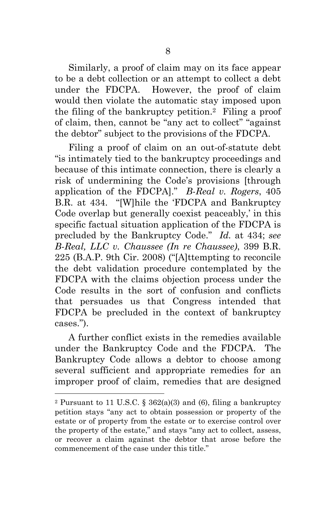Similarly, a proof of claim may on its face appear to be a debt collection or an attempt to collect a debt under the FDCPA. However, the proof of claim would then violate the automatic stay imposed upon the filing of the bankruptcy petition.2 Filing a proof of claim, then, cannot be "any act to collect" "against the debtor" subject to the provisions of the FDCPA.

Filing a proof of claim on an out-of-statute debt "is intimately tied to the bankruptcy proceedings and because of this intimate connection, there is clearly a risk of undermining the Code's provisions [through application of the FDCPA]." *B-Real v. Rogers*, 405 B.R. at 434. "[W]hile the 'FDCPA and Bankruptcy Code overlap but generally coexist peaceably,' in this specific factual situation application of the FDCPA is precluded by the Bankruptcy Code." *Id.* at 434; *see B-Real, LLC v. Chaussee (In re Chaussee)*, 399 B.R. 225 (B.A.P. 9th Cir. 2008) ("[A]ttempting to reconcile the debt validation procedure contemplated by the FDCPA with the claims objection process under the Code results in the sort of confusion and conflicts that persuades us that Congress intended that FDCPA be precluded in the context of bankruptcy cases.").

A further conflict exists in the remedies available under the Bankruptcy Code and the FDCPA. The Bankruptcy Code allows a debtor to choose among several sufficient and appropriate remedies for an improper proof of claim, remedies that are designed

 $\overline{a}$ 

<sup>&</sup>lt;sup>2</sup> Pursuant to 11 U.S.C. §  $362(a)(3)$  and (6), filing a bankruptcy petition stays "any act to obtain possession or property of the estate or of property from the estate or to exercise control over the property of the estate," and stays "any act to collect, assess, or recover a claim against the debtor that arose before the commencement of the case under this title."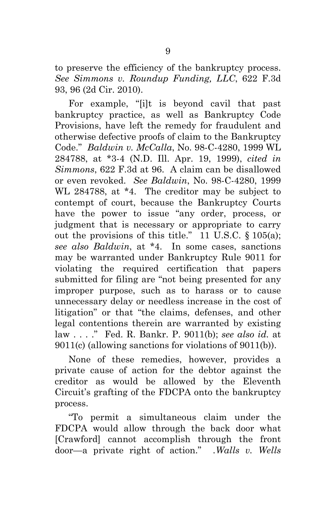to preserve the efficiency of the bankruptcy process. *See Simmons v. Roundup Funding, LLC*, 622 F.3d 93, 96 (2d Cir. 2010).

For example, "[i]t is beyond cavil that past bankruptcy practice, as well as Bankruptcy Code Provisions, have left the remedy for fraudulent and otherwise defective proofs of claim to the Bankruptcy Code." *Baldwin v. McCalla*, No. 98-C-4280, 1999 WL 284788, at \*3-4 (N.D. Ill. Apr. 19, 1999), *cited in Simmons*, 622 F.3d at 96. A claim can be disallowed or even revoked. *See Baldwin*, No. 98-C-4280, 1999 WL 284788, at \*4. The creditor may be subject to contempt of court, because the Bankruptcy Courts have the power to issue "any order, process, or judgment that is necessary or appropriate to carry out the provisions of this title." 11 U.S.C. § 105(a); *see also Baldwin*, at \*4. In some cases, sanctions may be warranted under Bankruptcy Rule 9011 for violating the required certification that papers submitted for filing are "not being presented for any improper purpose, such as to harass or to cause unnecessary delay or needless increase in the cost of litigation" or that "the claims, defenses, and other legal contentions therein are warranted by existing law . . . ." Fed. R. Bankr. P. 9011(b); *see also id.* at 9011(c) (allowing sanctions for violations of 9011(b)).

None of these remedies, however, provides a private cause of action for the debtor against the creditor as would be allowed by the Eleventh Circuit's grafting of the FDCPA onto the bankruptcy process.

"To permit a simultaneous claim under the FDCPA would allow through the back door what [Crawford] cannot accomplish through the front door—a private right of action." *.Walls v. Wells*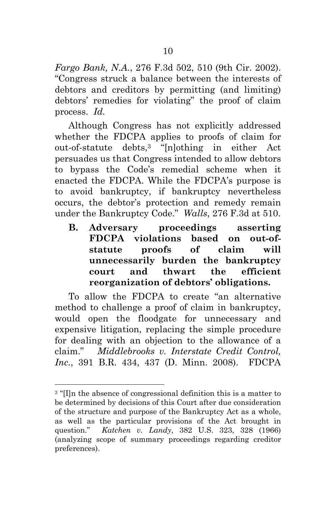*Fargo Bank, N.A.*, 276 F.3d 502, 510 (9th Cir. 2002). "Congress struck a balance between the interests of debtors and creditors by permitting (and limiting) debtors' remedies for violating" the proof of claim process. *Id.*

Although Congress has not explicitly addressed whether the FDCPA applies to proofs of claim for out-of-statute debts,3 "[n]othing in either Act persuades us that Congress intended to allow debtors to bypass the Code's remedial scheme when it enacted the FDCPA. While the FDCPA's purpose is to avoid bankruptcy, if bankruptcy nevertheless occurs, the debtor's protection and remedy remain under the Bankruptcy Code." *Walls*, 276 F.3d at 510.

**B. Adversary proceedings asserting FDCPA violations based on out-ofstatute proofs of claim will unnecessarily burden the bankruptcy court and thwart the efficient reorganization of debtors' obligations.** 

To allow the FDCPA to create "an alternative method to challenge a proof of claim in bankruptcy, would open the floodgate for unnecessary and expensive litigation, replacing the simple procedure for dealing with an objection to the allowance of a claim." *Middlebrooks v. Interstate Credit Control, Inc.*, 391 B.R. 434, 437 (D. Minn. 2008). FDCPA

1

<sup>&</sup>lt;sup>3</sup> "Illn the absence of congressional definition this is a matter to be determined by decisions of this Court after due consideration of the structure and purpose of the Bankruptcy Act as a whole, as well as the particular provisions of the Act brought in question." *Katchen v. Landy*, 382 U.S. 323, 328 (1966) (analyzing scope of summary proceedings regarding creditor preferences).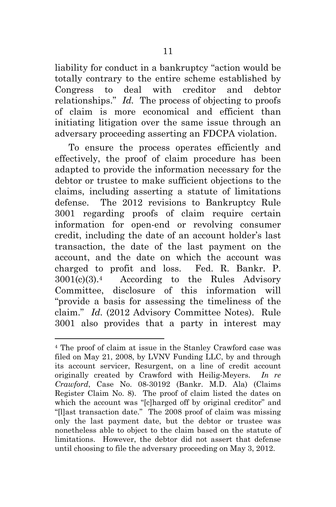liability for conduct in a bankruptcy "action would be totally contrary to the entire scheme established by Congress to deal with creditor and debtor relationships." *Id.* The process of objecting to proofs of claim is more economical and efficient than initiating litigation over the same issue through an adversary proceeding asserting an FDCPA violation.

To ensure the process operates efficiently and effectively, the proof of claim procedure has been adapted to provide the information necessary for the debtor or trustee to make sufficient objections to the claims, including asserting a statute of limitations defense. The 2012 revisions to Bankruptcy Rule 3001 regarding proofs of claim require certain information for open-end or revolving consumer credit, including the date of an account holder's last transaction, the date of the last payment on the account, and the date on which the account was charged to profit and loss. Fed. R. Bankr. P. 3001(c)(3).4 According to the Rules Advisory Committee, disclosure of this information will "provide a basis for assessing the timeliness of the claim." *Id.* (2012 Advisory Committee Notes). Rule 3001 also provides that a party in interest may

1

<sup>4</sup> The proof of claim at issue in the Stanley Crawford case was filed on May 21, 2008, by LVNV Funding LLC, by and through its account servicer, Resurgent, on a line of credit account originally created by Crawford with Heilig-Meyers. *In re Crawford*, Case No. 08-30192 (Bankr. M.D. Ala) (Claims Register Claim No. 8).The proof of claim listed the dates on which the account was "[c]harged off by original creditor" and "[l]ast transaction date." The 2008 proof of claim was missing only the last payment date, but the debtor or trustee was nonetheless able to object to the claim based on the statute of limitations. However, the debtor did not assert that defense until choosing to file the adversary proceeding on May 3, 2012.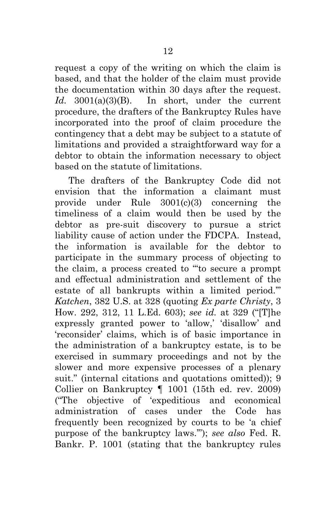request a copy of the writing on which the claim is based, and that the holder of the claim must provide the documentation within 30 days after the request. *Id.* 3001(a)(3)(B). In short, under the current procedure, the drafters of the Bankruptcy Rules have incorporated into the proof of claim procedure the contingency that a debt may be subject to a statute of limitations and provided a straightforward way for a debtor to obtain the information necessary to object based on the statute of limitations.

The drafters of the Bankruptcy Code did not envision that the information a claimant must provide under Rule 3001(c)(3) concerning the timeliness of a claim would then be used by the debtor as pre-suit discovery to pursue a strict liability cause of action under the FDCPA. Instead, the information is available for the debtor to participate in the summary process of objecting to the claim, a process created to "'to secure a prompt and effectual administration and settlement of the estate of all bankrupts within a limited period.'" *Katchen*, 382 U.S. at 328 (quoting *Ex parte Christy*, 3 How. 292, 312, 11 L.Ed. 603); *see id.* at 329 ("[T]he expressly granted power to 'allow,' 'disallow' and 'reconsider' claims, which is of basic importance in the administration of a bankruptcy estate, is to be exercised in summary proceedings and not by the slower and more expensive processes of a plenary suit." (internal citations and quotations omitted)); 9 Collier on Bankruptcy ¶ 1001 (15th ed. rev. 2009) ("The objective of 'expeditious and economical administration of cases under the Code has frequently been recognized by courts to be 'a chief purpose of the bankruptcy laws.'"); *see also* Fed. R. Bankr. P. 1001 (stating that the bankruptcy rules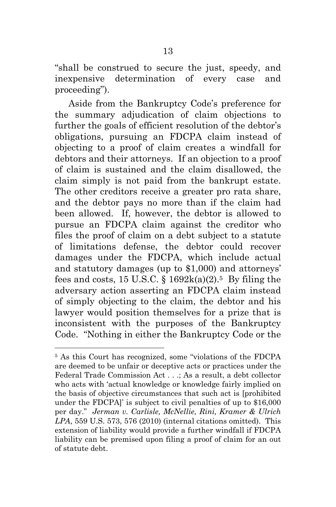"shall be construed to secure the just, speedy, and inexpensive determination of every case and proceeding").

Aside from the Bankruptcy Code's preference for the summary adjudication of claim objections to further the goals of efficient resolution of the debtor's obligations, pursuing an FDCPA claim instead of objecting to a proof of claim creates a windfall for debtors and their attorneys. If an objection to a proof of claim is sustained and the claim disallowed, the claim simply is not paid from the bankrupt estate. The other creditors receive a greater pro rata share, and the debtor pays no more than if the claim had been allowed. If, however, the debtor is allowed to pursue an FDCPA claim against the creditor who files the proof of claim on a debt subject to a statute of limitations defense, the debtor could recover damages under the FDCPA, which include actual and statutory damages (up to \$1,000) and attorneys' fees and costs, 15 U.S.C.  $\S 1692k(a)(2)$ .<sup>5</sup> By filing the adversary action asserting an FDCPA claim instead of simply objecting to the claim, the debtor and his lawyer would position themselves for a prize that is inconsistent with the purposes of the Bankruptcy Code. "Nothing in either the Bankruptcy Code or the

l

<sup>5</sup> As this Court has recognized, some "violations of the FDCPA are deemed to be unfair or deceptive acts or practices under the Federal Trade Commission Act . . .; As a result, a debt collector who acts with 'actual knowledge or knowledge fairly implied on the basis of objective circumstances that such act is [prohibited under the FDCPA]' is subject to civil penalties of up to \$16,000 per day." *Jerman v. Carlisle, McNellie, Rini, Kramer & Ulrich LPA*, 559 U.S. 573, 576 (2010) (internal citations omitted). This extension of liability would provide a further windfall if FDCPA liability can be premised upon filing a proof of claim for an out of statute debt.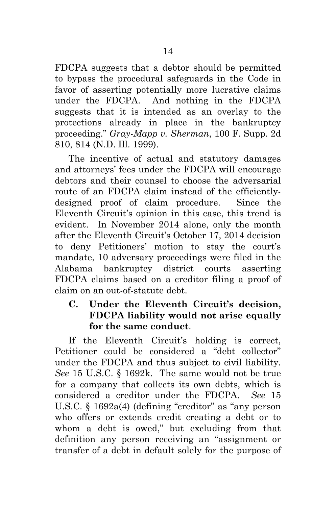FDCPA suggests that a debtor should be permitted to bypass the procedural safeguards in the Code in favor of asserting potentially more lucrative claims under the FDCPA. And nothing in the FDCPA suggests that it is intended as an overlay to the protections already in place in the bankruptcy proceeding." *Gray-Mapp v. Sherman*, 100 F. Supp. 2d 810, 814 (N.D. Ill. 1999).

The incentive of actual and statutory damages and attorneys' fees under the FDCPA will encourage debtors and their counsel to choose the adversarial route of an FDCPA claim instead of the efficientlydesigned proof of claim procedure. Since the Eleventh Circuit's opinion in this case, this trend is evident. In November 2014 alone, only the month after the Eleventh Circuit's October 17, 2014 decision to deny Petitioners' motion to stay the court's mandate, 10 adversary proceedings were filed in the Alabama bankruptcy district courts asserting FDCPA claims based on a creditor filing a proof of claim on an out-of-statute debt.

## **C. Under the Eleventh Circuit's decision, FDCPA liability would not arise equally for the same conduct**.

If the Eleventh Circuit's holding is correct, Petitioner could be considered a "debt collector" under the FDCPA and thus subject to civil liability. *See* 15 U.S.C. § 1692k. The same would not be true for a company that collects its own debts, which is considered a creditor under the FDCPA. *See* 15 U.S.C. § 1692a(4) (defining "creditor" as "any person who offers or extends credit creating a debt or to whom a debt is owed," but excluding from that definition any person receiving an "assignment or transfer of a debt in default solely for the purpose of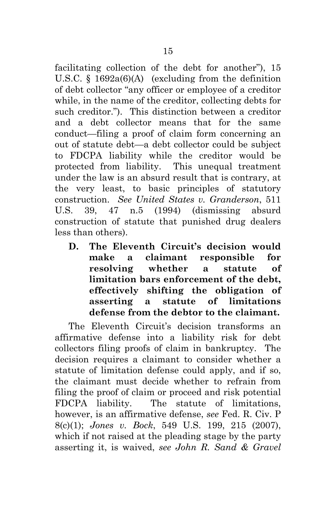facilitating collection of the debt for another"), 15 U.S.C. § 1692a(6)(A) (excluding from the definition of debt collector "any officer or employee of a creditor while, in the name of the creditor, collecting debts for such creditor."). This distinction between a creditor and a debt collector means that for the same conduct—filing a proof of claim form concerning an out of statute debt—a debt collector could be subject to FDCPA liability while the creditor would be protected from liability. This unequal treatment under the law is an absurd result that is contrary, at the very least, to basic principles of statutory construction. *See United States v. Granderson*, 511 U.S. 39, 47 n.5 (1994) (dismissing absurd construction of statute that punished drug dealers less than others).

**D. The Eleventh Circuit's decision would make a claimant responsible for resolving whether a statute of limitation bars enforcement of the debt, effectively shifting the obligation of asserting a statute of limitations defense from the debtor to the claimant.** 

The Eleventh Circuit's decision transforms an affirmative defense into a liability risk for debt collectors filing proofs of claim in bankruptcy. The decision requires a claimant to consider whether a statute of limitation defense could apply, and if so, the claimant must decide whether to refrain from filing the proof of claim or proceed and risk potential FDCPA liability. The statute of limitations, however, is an affirmative defense, *see* Fed. R. Civ. P 8(c)(1); *Jones v. Bock*, 549 U.S. 199, 215 (2007), which if not raised at the pleading stage by the party asserting it, is waived, *see John R. Sand & Gravel*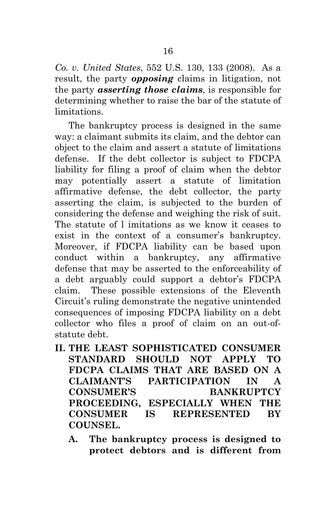*Co. v. United States*, 552 U.S. 130, 133 (2008). As a result, the party *opposing* claims in litigation, not the party *asserting those claims*, is responsible for determining whether to raise the bar of the statute of limitations.

The bankruptcy process is designed in the same way: a claimant submits its claim, and the debtor can object to the claim and assert a statute of limitations defense. If the debt collector is subject to FDCPA liability for filing a proof of claim when the debtor may potentially assert a statute of limitation affirmative defense, the debt collector, the party asserting the claim, is subjected to the burden of considering the defense and weighing the risk of suit. The statute of l imitations as we know it ceases to exist in the context of a consumer's bankruptcy. Moreover, if FDCPA liability can be based upon conduct within a bankruptcy, any affirmative defense that may be asserted to the enforceability of a debt arguably could support a debtor's FDCPA claim. These possible extensions of the Eleventh Circuit's ruling demonstrate the negative unintended consequences of imposing FDCPA liability on a debt collector who files a proof of claim on an out-ofstatute debt.

- **II. THE LEAST SOPHISTICATED CONSUMER STANDARD SHOULD NOT APPLY TO FDCPA CLAIMS THAT ARE BASED ON A CLAIMANT'S PARTICIPATION IN A CONSUMER'S BANKRUPTCY PROCEEDING, ESPECIALLY WHEN THE CONSUMER IS REPRESENTED BY COUNSEL.** 
	- **A. The bankruptcy process is designed to protect debtors and is different from**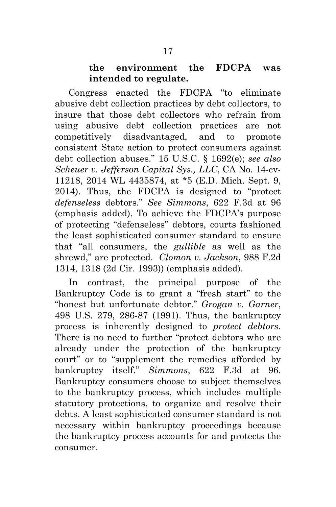#### **the environment the FDCPA was intended to regulate.**

Congress enacted the FDCPA "to eliminate abusive debt collection practices by debt collectors, to insure that those debt collectors who refrain from using abusive debt collection practices are not competitively disadvantaged, and to promote consistent State action to protect consumers against debt collection abuses." 15 U.S.C. § 1692(e); *see also Scheuer v. Jefferson Capital Sys., LLC*, CA No. 14-cv-11218, 2014 WL 4435874, at \*5 (E.D. Mich. Sept. 9, 2014). Thus, the FDCPA is designed to "protect *defenseless* debtors." *See Simmons*, 622 F.3d at 96 (emphasis added). To achieve the FDCPA's purpose of protecting "defenseless" debtors, courts fashioned the least sophisticated consumer standard to ensure that "all consumers, the *gullible* as well as the shrewd," are protected. *Clomon v. Jackson*, 988 F.2d 1314, 1318 (2d Cir. 1993)) (emphasis added).

In contrast, the principal purpose of the Bankruptcy Code is to grant a "fresh start" to the "honest but unfortunate debtor." *Grogan v. Garner*, 498 U.S. 279, 286-87 (1991). Thus, the bankruptcy process is inherently designed to *protect debtors*. There is no need to further "protect debtors who are already under the protection of the bankruptcy court" or to "supplement the remedies afforded by bankruptcy itself." *Simmons*, 622 F.3d at 96. Bankruptcy consumers choose to subject themselves to the bankruptcy process, which includes multiple statutory protections, to organize and resolve their debts. A least sophisticated consumer standard is not necessary within bankruptcy proceedings because the bankruptcy process accounts for and protects the consumer.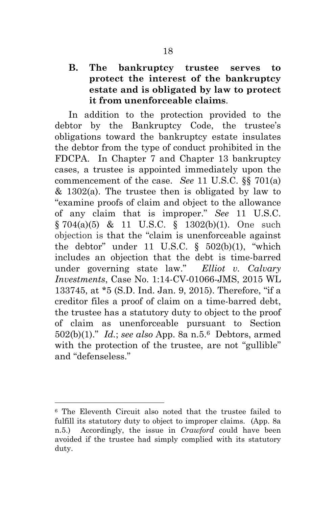## **B. The bankruptcy trustee serves to protect the interest of the bankruptcy estate and is obligated by law to protect it from unenforceable claims**.

In addition to the protection provided to the debtor by the Bankruptcy Code, the trustee's obligations toward the bankruptcy estate insulates the debtor from the type of conduct prohibited in the FDCPA. In Chapter 7 and Chapter 13 bankruptcy cases, a trustee is appointed immediately upon the commencement of the case. *See* 11 U.S.C. §§ 701(a) & 1302(a). The trustee then is obligated by law to "examine proofs of claim and object to the allowance of any claim that is improper." *See* 11 U.S.C. § 704(a)(5) & 11 U.S.C. § 1302(b)(1). One such objection is that the "claim is unenforceable against the debtor" under 11 U.S.C.  $\S$  502(b)(1), "which includes an objection that the debt is time-barred under governing state law." *Elliot v. Calvary Investments*, Case No. 1:14-CV-01066-JMS, 2015 WL 133745, at \*5 (S.D. Ind. Jan. 9, 2015). Therefore, "if a creditor files a proof of claim on a time-barred debt, the trustee has a statutory duty to object to the proof of claim as unenforceable pursuant to Section 502(b)(1)." *Id.*; *see also* App. 8a n.5.6 Debtors, armed with the protection of the trustee, are not "gullible" and "defenseless."

 $\overline{a}$ 

<sup>6</sup> The Eleventh Circuit also noted that the trustee failed to fulfill its statutory duty to object to improper claims. (App. 8a n.5.) Accordingly, the issue in *Crawford* could have been avoided if the trustee had simply complied with its statutory duty.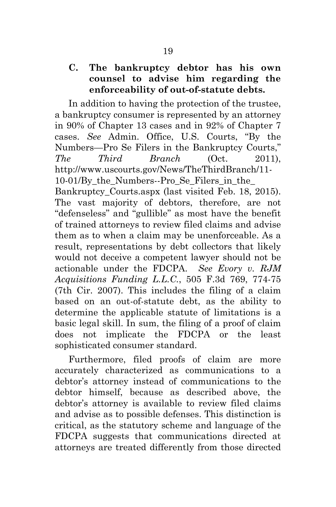## **C. The bankruptcy debtor has his own counsel to advise him regarding the enforceability of out-of-statute debts.**

In addition to having the protection of the trustee, a bankruptcy consumer is represented by an attorney in 90% of Chapter 13 cases and in 92% of Chapter 7 cases. *See* Admin. Office, U.S. Courts, "By the Numbers—Pro Se Filers in the Bankruptcy Courts," *The Third Branch* (Oct. 2011), http://www.uscourts.gov/News/TheThirdBranch/11- 10-01/By\_the\_Numbers--Pro\_Se\_Filers\_in\_the\_ Bankruptcy Courts.aspx (last visited Feb. 18, 2015). The vast majority of debtors, therefore, are not "defenseless" and "gullible" as most have the benefit of trained attorneys to review filed claims and advise them as to when a claim may be unenforceable. As a result, representations by debt collectors that likely would not deceive a competent lawyer should not be actionable under the FDCPA. *See Evory v. RJM Acquisitions Funding L.L.C.*, 505 F.3d 769, 774-75 (7th Cir. 2007). This includes the filing of a claim based on an out-of-statute debt, as the ability to determine the applicable statute of limitations is a basic legal skill. In sum, the filing of a proof of claim does not implicate the FDCPA or the least sophisticated consumer standard.

Furthermore, filed proofs of claim are more accurately characterized as communications to a debtor's attorney instead of communications to the debtor himself, because as described above, the debtor's attorney is available to review filed claims and advise as to possible defenses. This distinction is critical, as the statutory scheme and language of the FDCPA suggests that communications directed at attorneys are treated differently from those directed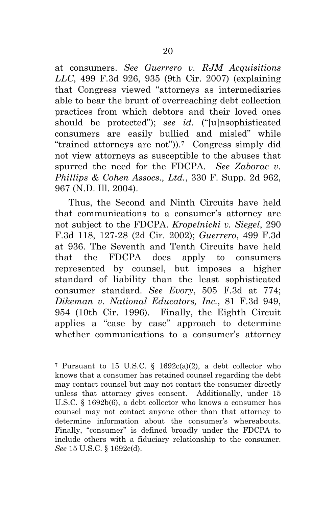at consumers. *See Guerrero v. RJM Acquisitions LLC*, 499 F.3d 926, 935 (9th Cir. 2007) (explaining that Congress viewed "attorneys as intermediaries able to bear the brunt of overreaching debt collection practices from which debtors and their loved ones should be protected"); *see id*. ("[u]nsophisticated consumers are easily bullied and misled" while "trained attorneys are not")).7 Congress simply did not view attorneys as susceptible to the abuses that spurred the need for the FDCPA. *See Zaborac v. Phillips & Cohen Assocs., Ltd.*, 330 F. Supp. 2d 962, 967 (N.D. Ill. 2004).

Thus, the Second and Ninth Circuits have held that communications to a consumer's attorney are not subject to the FDCPA. *Kropelnicki v. Siegel*, 290 F.3d 118, 127-28 (2d Cir. 2002); *Guerrero*, 499 F.3d at 936. The Seventh and Tenth Circuits have held that the FDCPA does apply to consumers represented by counsel, but imposes a higher standard of liability than the least sophisticated consumer standard. *See Evory*, 505 F.3d at 774; *Dikeman v. National Educators, Inc.*, 81 F.3d 949, 954 (10th Cir. 1996). Finally, the Eighth Circuit applies a "case by case" approach to determine whether communications to a consumer's attorney

l

<sup>7</sup> Pursuant to 15 U.S.C. § 1692c(a)(2), a debt collector who knows that a consumer has retained counsel regarding the debt may contact counsel but may not contact the consumer directly unless that attorney gives consent. Additionally, under 15 U.S.C. § 1692b(6), a debt collector who knows a consumer has counsel may not contact anyone other than that attorney to determine information about the consumer's whereabouts. Finally, "consumer" is defined broadly under the FDCPA to include others with a fiduciary relationship to the consumer. *See* 15 U.S.C. § 1692c(d).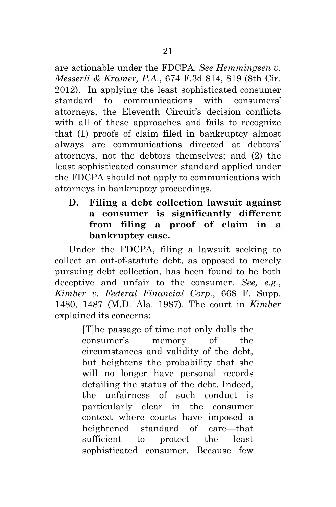are actionable under the FDCPA. *See Hemmingsen v. Messerli & Kramer, P.A.*, 674 F.3d 814, 819 (8th Cir. 2012). In applying the least sophisticated consumer standard to communications with consumers' attorneys, the Eleventh Circuit's decision conflicts with all of these approaches and fails to recognize that (1) proofs of claim filed in bankruptcy almost always are communications directed at debtors' attorneys, not the debtors themselves; and (2) the least sophisticated consumer standard applied under the FDCPA should not apply to communications with attorneys in bankruptcy proceedings.

**D. Filing a debt collection lawsuit against a consumer is significantly different from filing a proof of claim in a bankruptcy case.** 

Under the FDCPA, filing a lawsuit seeking to collect an out-of-statute debt, as opposed to merely pursuing debt collection, has been found to be both deceptive and unfair to the consumer. *See, e.g.*, *Kimber v. Federal Financial Corp.*, 668 F. Supp. 1480, 1487 (M.D. Ala. 1987). The court in *Kimber* explained its concerns:

> [T]he passage of time not only dulls the consumer's memory of the circumstances and validity of the debt, but heightens the probability that she will no longer have personal records detailing the status of the debt. Indeed, the unfairness of such conduct is particularly clear in the consumer context where courts have imposed a heightened standard of care—that sufficient to protect the least sophisticated consumer. Because few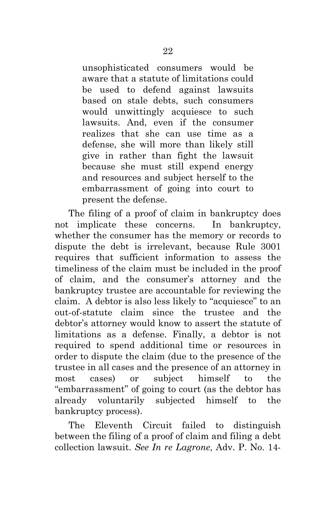unsophisticated consumers would be aware that a statute of limitations could be used to defend against lawsuits based on stale debts, such consumers would unwittingly acquiesce to such lawsuits. And, even if the consumer realizes that she can use time as a defense, she will more than likely still give in rather than fight the lawsuit because she must still expend energy and resources and subject herself to the embarrassment of going into court to present the defense.

The filing of a proof of claim in bankruptcy does not implicate these concerns. In bankruptcy, whether the consumer has the memory or records to dispute the debt is irrelevant, because Rule 3001 requires that sufficient information to assess the timeliness of the claim must be included in the proof of claim, and the consumer's attorney and the bankruptcy trustee are accountable for reviewing the claim. A debtor is also less likely to "acquiesce" to an out-of-statute claim since the trustee and the debtor's attorney would know to assert the statute of limitations as a defense. Finally, a debtor is not required to spend additional time or resources in order to dispute the claim (due to the presence of the trustee in all cases and the presence of an attorney in most cases) or subject himself to the "embarrassment" of going to court (as the debtor has already voluntarily subjected himself to the bankruptcy process).

The Eleventh Circuit failed to distinguish between the filing of a proof of claim and filing a debt collection lawsuit. *See In re Lagrone*, Adv. P. No. 14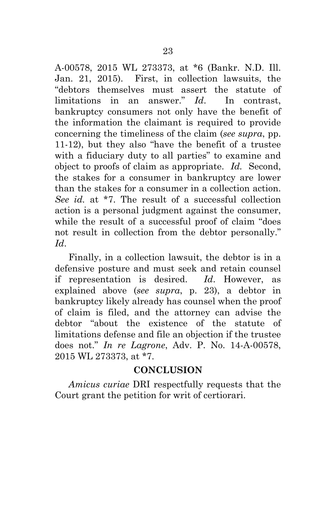A-00578, 2015 WL 273373, at \*6 (Bankr. N.D. Ill. Jan. 21, 2015). First, in collection lawsuits, the "debtors themselves must assert the statute of limitations in an answer." *Id*. In contrast, bankruptcy consumers not only have the benefit of the information the claimant is required to provide concerning the timeliness of the claim (*see supra*, pp. 11-12), but they also "have the benefit of a trustee with a fiduciary duty to all parties" to examine and object to proofs of claim as appropriate. *Id.* Second, the stakes for a consumer in bankruptcy are lower than the stakes for a consumer in a collection action. *See id.* at \*7. The result of a successful collection action is a personal judgment against the consumer, while the result of a successful proof of claim "does not result in collection from the debtor personally." *Id*.

Finally, in a collection lawsuit, the debtor is in a defensive posture and must seek and retain counsel if representation is desired. *Id*. However, as explained above (*see supra*, p. 23), a debtor in bankruptcy likely already has counsel when the proof of claim is filed, and the attorney can advise the debtor "about the existence of the statute of limitations defense and file an objection if the trustee does not." *In re Lagrone*, Adv. P. No. 14-A-00578, 2015 WL 273373, at \*7.

## **CONCLUSION**

*Amicus curiae* DRI respectfully requests that the Court grant the petition for writ of certiorari.